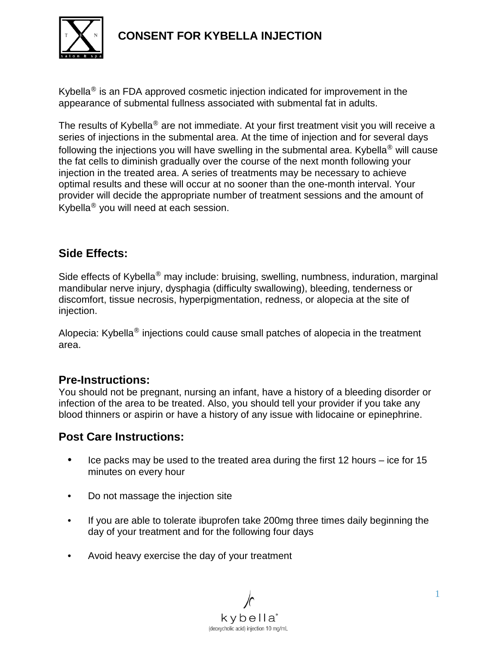

# **CONSENT FOR KYBELLA INJECTION**

Kybella® is an FDA approved cosmetic injection indicated for improvement in the appearance of submental fullness associated with submental fat in adults.

The results of Kybella<sup>®</sup> are not immediate. At your first treatment visit you will receive a series of injections in the submental area. At the time of injection and for several days following the injections you will have swelling in the submental area. Kybella<sup>®</sup> will cause the fat cells to diminish gradually over the course of the next month following your injection in the treated area. A series of treatments may be necessary to achieve optimal results and these will occur at no sooner than the one-month interval. Your provider will decide the appropriate number of treatment sessions and the amount of Kybella® you will need at each session.

## **Side Effects:**

Side effects of Kybella<sup>®</sup> may include: bruising, swelling, numbness, induration, marginal mandibular nerve injury, dysphagia (difficulty swallowing), bleeding, tenderness or discomfort, tissue necrosis, hyperpigmentation, redness, or alopecia at the site of injection.

Alopecia: Kybella® injections could cause small patches of alopecia in the treatment area.

### **Pre-Instructions:**

You should not be pregnant, nursing an infant, have a history of a bleeding disorder or infection of the area to be treated. Also, you should tell your provider if you take any blood thinners or aspirin or have a history of any issue with lidocaine or epinephrine.

### **Post Care Instructions:**

- Ice packs may be used to the treated area during the first 12 hours ice for 15 minutes on every hour
- Do not massage the injection site
- If you are able to tolerate ibuprofen take 200mg three times daily beginning the day of your treatment and for the following four days
- Avoid heavy exercise the day of your treatment